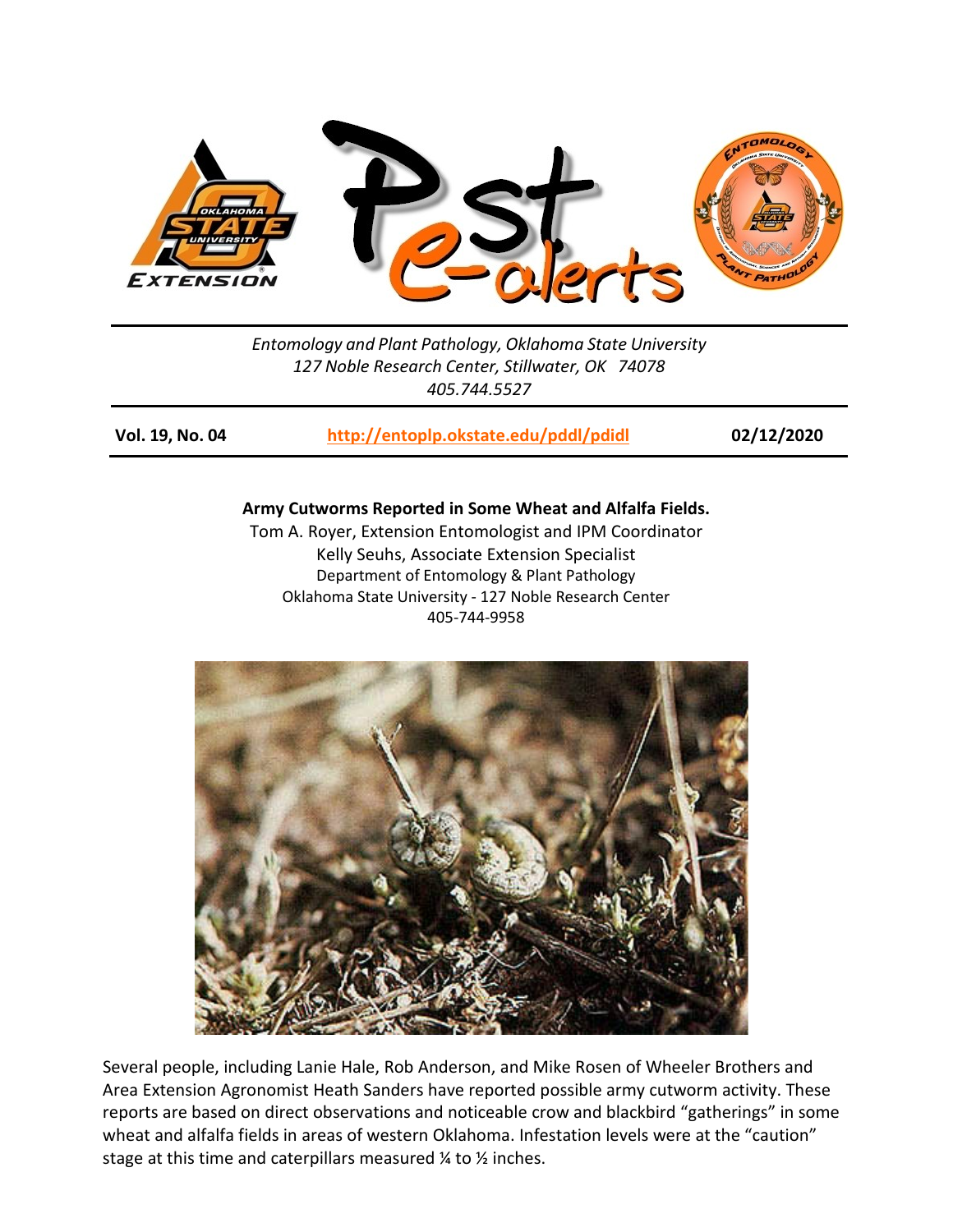

*Entomology and Plant Pathology, Oklahoma State University 127 Noble Research Center, Stillwater, OK 74078 405.744.5527*

**Vol. 19, No. 04 <http://entoplp.okstate.edu/pddl/pdidl> 02/12/2020**

## **Army Cutworms Reported in Some Wheat and Alfalfa Fields.**

Tom A. Royer, Extension Entomologist and IPM Coordinator Kelly Seuhs, Associate Extension Specialist Department of Entomology & Plant Pathology Oklahoma State University - 127 Noble Research Center 405-744-9958



Several people, including Lanie Hale, Rob Anderson, and Mike Rosen of Wheeler Brothers and Area Extension Agronomist Heath Sanders have reported possible army cutworm activity. These reports are based on direct observations and noticeable crow and blackbird "gatherings" in some wheat and alfalfa fields in areas of western Oklahoma. Infestation levels were at the "caution" stage at this time and caterpillars measured ¼ to ½ inches.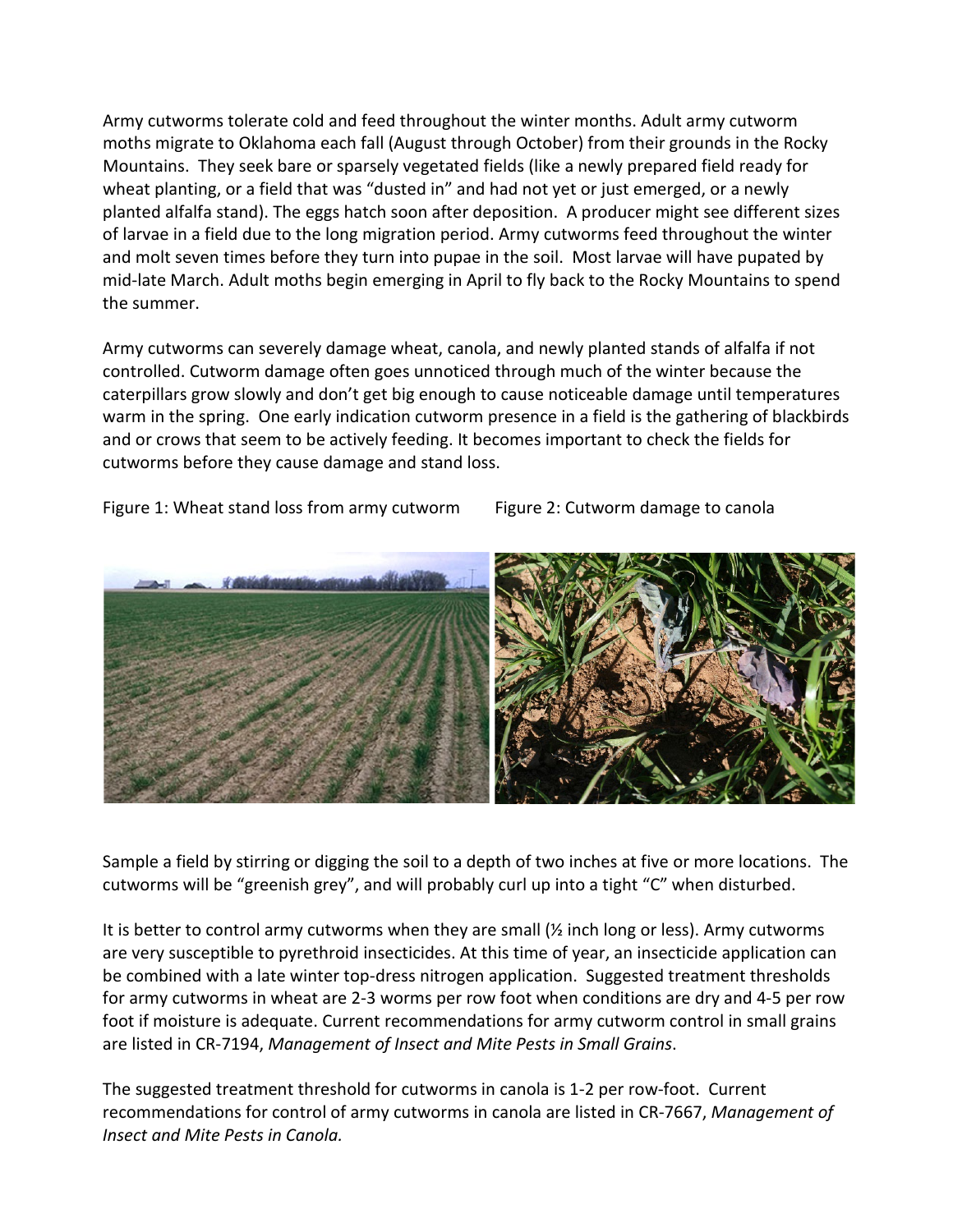Army cutworms tolerate cold and feed throughout the winter months. Adult army cutworm moths migrate to Oklahoma each fall (August through October) from their grounds in the Rocky Mountains. They seek bare or sparsely vegetated fields (like a newly prepared field ready for wheat planting, or a field that was "dusted in" and had not yet or just emerged, or a newly planted alfalfa stand). The eggs hatch soon after deposition. A producer might see different sizes of larvae in a field due to the long migration period. Army cutworms feed throughout the winter and molt seven times before they turn into pupae in the soil. Most larvae will have pupated by mid-late March. Adult moths begin emerging in April to fly back to the Rocky Mountains to spend the summer.

Army cutworms can severely damage wheat, canola, and newly planted stands of alfalfa if not controlled. Cutworm damage often goes unnoticed through much of the winter because the caterpillars grow slowly and don't get big enough to cause noticeable damage until temperatures warm in the spring. One early indication cutworm presence in a field is the gathering of blackbirds and or crows that seem to be actively feeding. It becomes important to check the fields for cutworms before they cause damage and stand loss.

Figure 1: Wheat stand loss from army cutworm Figure 2: Cutworm damage to canola



Sample a field by stirring or digging the soil to a depth of two inches at five or more locations. The cutworms will be "greenish grey", and will probably curl up into a tight "C" when disturbed.

It is better to control army cutworms when they are small  $\frac{1}{2}$  inch long or less). Army cutworms are very susceptible to pyrethroid insecticides. At this time of year, an insecticide application can be combined with a late winter top-dress nitrogen application. Suggested treatment thresholds for army cutworms in wheat are 2-3 worms per row foot when conditions are dry and 4-5 per row foot if moisture is adequate. Current recommendations for army cutworm control in small grains are listed in CR-7194, *Management of Insect and Mite Pests in Small Grains*.

The suggested treatment threshold for cutworms in canola is 1-2 per row-foot. Current recommendations for control of army cutworms in canola are listed in CR-7667, *Management of Insect and Mite Pests in Canola.*